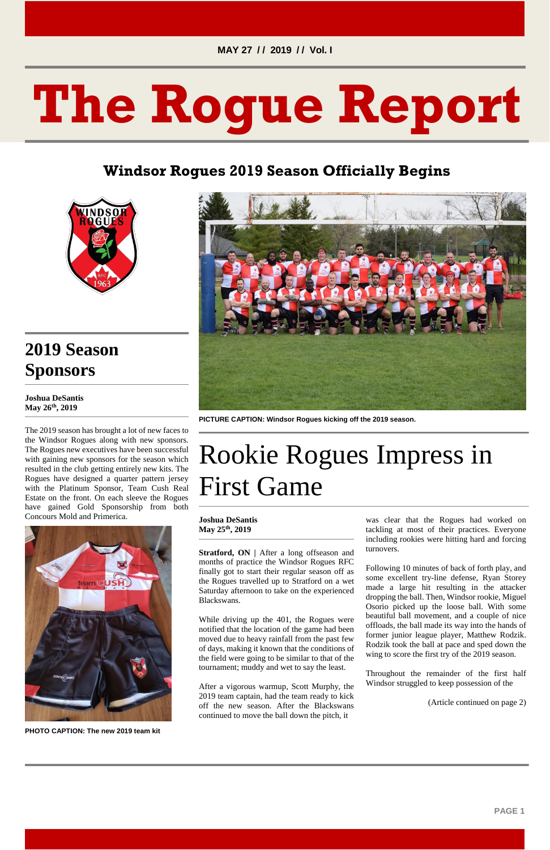#### **MAY 27 / / 2019 / / Vol. I**

# **The Rogue Report**

#### **Windsor Rogues 2019 Season Officially Begins**



## **2019 Season Sponsors**

**Joshua DeSantis May 26th, 2019**

The 2019 season has brought a lot of new faces to the Windsor Rogues along with new sponsors. The Rogues new executives have been successful with gaining new sponsors for the season which resulted in the club getting entirely new kits. The Rogues have designed a quarter pattern jersey with the Platinum Sponsor, Team Cush Real Estate on the front. On each sleeve the Rogues have gained Gold Sponsorship from both Concours Mold and Primerica.



**Stratford, ON** | After a long offseason and months of practice the Windsor Rogues RFC finally got to start their regular season off as the Rogues travelled up to Stratford on a wet Saturday afternoon to take on the experienced Blackswans.

**PHOTO CAPTION: The new 2019 team kit**



**PICTURE CAPTION: Windsor Rogues kicking off the 2019 season.**

# Rookie Rogues Impress in First Game

#### **Joshua DeSantis May 25th, 2019**

While driving up the 401, the Rogues were

notified that the location of the game had been moved due to heavy rainfall from the past few of days, making it known that the conditions of the field were going to be similar to that of the tournament; muddy and wet to say the least.

After a vigorous warmup, Scott Murphy, the 2019 team captain, had the team ready to kick off the new season. After the Blackswans continued to move the ball down the pitch, it

was clear that the Rogues had worked on tackling at most of their practices. Everyone including rookies were hitting hard and forcing turnovers.

Following 10 minutes of back of forth play, and some excellent try-line defense, Ryan Storey made a large hit resulting in the attacker dropping the ball. Then, Windsor rookie, Miguel Osorio picked up the loose ball. With some beautiful ball movement, and a couple of nice offloads, the ball made its way into the hands of former junior league player, Matthew Rodzik. Rodzik took the ball at pace and sped down the wing to score the first try of the 2019 season.

Throughout the remainder of the first half Windsor struggled to keep possession of the

(Article continued on page 2)